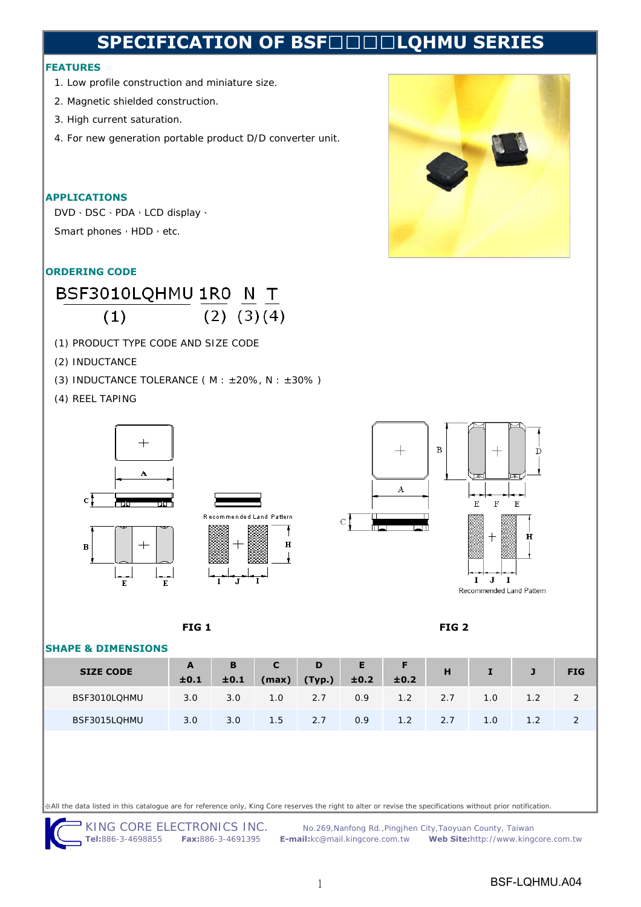# **SPECIFICATION OF BSF**□□□□**LQHMU SERIES**

#### **FEATURES**

- 1. Low profile construction and miniature size.
- 2. Magnetic shielded construction.
- 3. High current saturation.
- 4. For new generation portable product D/D converter unit.

### **APPLICATIONS**

DVD、DSC、PDA,LCD display、 Smart phones, HDD, etc.

### **ORDERING CODE**



- (1) PRODUCT TYPE CODE AND SIZE CODE
- (2) INDUCTANCE
- (3) INDUCTANCE TOLERANCE ( $M : ±20\%$ ,  $N : ±30\%$ )
- (4) REEL TAPING







#### **FIG 1 FIG 2**

#### **SHAPE & DIMENSIONS**

| ___________________________ |                      |      |       |                 |             |      |     |     |            |
|-----------------------------|----------------------|------|-------|-----------------|-------------|------|-----|-----|------------|
| <b>SIZE CODE</b>            | $\mathbf{A}$<br>±0.1 | ±0.1 | (max) | B C D<br>(Typ.) | E I<br>±0.2 | ±0.2 | H   |     | <b>FIG</b> |
| BSF3010LQHMU                | 3.0                  | 3.0  | 1.0   | 2.7             | 0.9         | 1.2  | 2.7 | 1.0 |            |
| BSF3015LQHMU                | 3.0                  | 3.0  | 1.5   | 2.7             | 0.9         | 1.2  | 2.7 | 1.0 |            |

※All the data listed in this catalogue are for reference only, King Core reserves the right to alter or revise the specifications without prior notification.

KING CORE ELECTRONICS INC. No.269, Nanfong Rd., Pingjhen City, Taoyuan County, Taiwan

**Tel:**886-3-4698855 **Fax:**886-3-4691395 **E-mail:**kc@mail.kingcore.com.tw **Web Site:**http://www.kingcore.com.tw

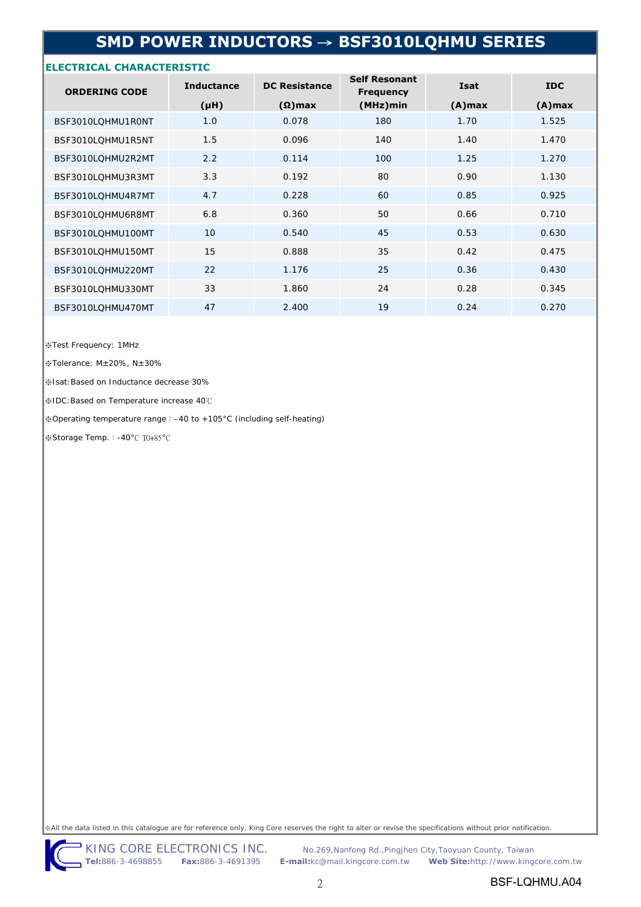# **SMD POWER INDUCTORS** → **BSF3010LQHMU SERIES**

#### **ELECTRICAL CHARACTERISTIC**

| <b>ORDERING CODE</b> | <b>Inductance</b> | <b>DC Resistance</b> | <b>Self Resonant</b><br><b>Frequency</b> | Isat      | <b>IDC</b> |  |
|----------------------|-------------------|----------------------|------------------------------------------|-----------|------------|--|
|                      | (Hu)              | $(\Omega)$ max       | (MHz)min                                 | $(A)$ max | $(A)$ max  |  |
| BSF3010LQHMU1R0NT    | 1.0               | 0.078                | 180                                      | 1.70      | 1.525      |  |
| BSF3010LQHMU1R5NT    | 1.5               | 0.096                | 140                                      | 1.40      | 1.470      |  |
| BSF3010LQHMU2R2MT    | 2.2               | 0.114                | 100                                      | 1.25      | 1.270      |  |
| BSF3010LQHMU3R3MT    | 3.3               | 0.192                | 80                                       | 0.90      | 1.130      |  |
| BSF3010LOHMU4R7MT    | 4.7               | 0.228                | 60                                       | 0.85      | 0.925      |  |
| BSF3010LQHMU6R8MT    | 6.8               | 0.360                | 50                                       | 0.66      | 0.710      |  |
| BSF3010LQHMU100MT    | 10 <sup>°</sup>   | 0.540                | 45                                       | 0.53      | 0.630      |  |
| BSF3010LOHMU150MT    | 15                | 0.888                | 35                                       | 0.42      | 0.475      |  |
| BSF3010LQHMU220MT    | 22                | 1.176                | 25                                       | 0.36      | 0.430      |  |
| BSF3010LQHMU330MT    | 33                | 1.860                | 24                                       | 0.28      | 0.345      |  |
| BSF3010LQHMU470MT    | 47                | 2.400                | 19                                       | 0.24      | 0.270      |  |

※Test Frequency: 1MHz

※Tolerance: M±20%, N±30%

※Isat:Based on Inductance decrease 30%

※IDC:Based on Temperature increase 40℃

※Operating temperature range:–40 to +105°C (including self-heating)

※Storage Temp.:-40°C TO+85°C

※All the data listed in this catalogue are for reference only, King Core reserves the right to alter or revise the specifications without prior notification.